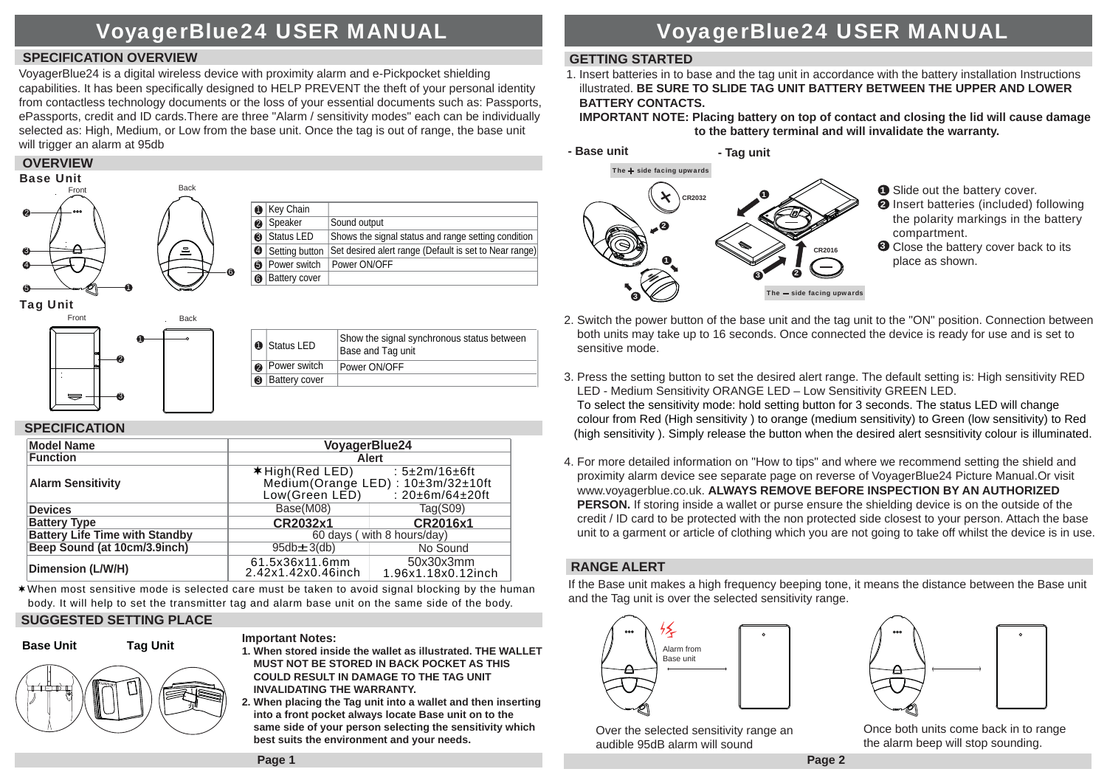## VoyagerBlue24 USER MANUAL

### **SPECIFICATION OVERVIEW**

VoyagerBlue24 is a digital wireless device with proximity alarm and e-Pickpocket shielding capabilities. It has been specifically designed to HELP PREVENT the theft of your personal identity from contactless technology documents or the loss of your essential documents such as: Passports, ePassports, credit and ID cards.There are three "Alarm / sensitivity modes" each can be individually selected as: High, Medium, or Low from the base unit. Once the tag is out of range, the base unit will trigger an alarm at 95db

### **OVERVIEW**



Tag Unit



|   | <b>O</b> Status LED  | Show the signal synchronous status between<br>Base and Tag unit |
|---|----------------------|-----------------------------------------------------------------|
|   | <b>Power switch</b>  | Power ON/OFF                                                    |
| ❸ | <b>Battery cover</b> |                                                                 |
|   |                      |                                                                 |

### **SPECIFICATION**

| <b>Model Name</b>                     | VoyagerBlue24                                                                                                       |                                 |  |
|---------------------------------------|---------------------------------------------------------------------------------------------------------------------|---------------------------------|--|
| <b>Function</b>                       | Alert                                                                                                               |                                 |  |
| <b>Alarm Sensitivity</b>              | : $5\pm2m/16\pm6ft$<br>$*$ High (Red LED)<br>Medium(Orange LED): 10±3m/32±10ft<br>: 20±6m/64±20ft<br>Low(Green LED) |                                 |  |
| <b>Devices</b>                        | Base(M08)                                                                                                           | Tag(S09)                        |  |
| <b>Battery Type</b>                   | CR2032x1                                                                                                            | CR2016x1                        |  |
| <b>Battery Life Time with Standby</b> | 60 days (with 8 hours/day)                                                                                          |                                 |  |
| Beep Sound (at 10cm/3.9inch)          | $95db + 3(db)$                                                                                                      | No Sound                        |  |
| Dimension (L/W/H)                     | 61.5x36x11.6mm<br>2.42x1.42x0.46inch                                                                                | 50x30x3mm<br>1.96x1.18x0.12inch |  |

When most sensitive mode is selected care must be taken to avoid signal blocking by the human body. It will help to set the transmitter tag and alarm base unit on the same side of the body.

### **SUGGESTED SETTING PLACE**

### **Base UnitTag Unit**

### **Important Notes:**

- **1. When stored inside the wallet as illustrated. THE WALLET MUST NOT BE STORED IN BACK POCKET AS THIS COULD RESULT IN DAMAGE TO THE TAG UNIT INVALIDATING THE WARRANTY.**
- **2. When placing the Tag unit into a wallet and then inserting into a front pocket always locate Base unit on to the same side of your person selecting the sensitivity which best suits the environment and your needs.**

## VoyagerBlue24 USER MANUAL

### **GETTING STARTED**

1. Insert batteries in to base and the tag unit in accordance with the battery installation Instructions illustrated. **BE SURE TO SLIDE TAG UNIT BATTERY BETWEEN THE UPPER AND LOWER BATTERY CONTACTS.** 

 **IMPORTANT NOTE: Placing battery on top of contact and closing the lid will cause damage to the battery terminal and will invalidate the warranty.**



**D** Slide out the battery cover.

- 2 Insert batteries (included) following the polarity markings in the battery compartment.
- **3** Close the battery cover back to its place as shown.
- 2. Switch the power button of the base unit and the tag unit to the "ON" position. Connection between both units may take up to 16 seconds. Once connected the device is ready for use and is set to sensitive mode.
- 3. Press the setting button to set the desired alert range. The default setting is: High sensitivity RED LED - Medium Sensitivity ORANGE LED – Low Sensitivity GREEN LED. To select the sensitivity mode: hold setting button for 3 seconds. The status LED will change colour from Red (High sensitivity ) to orange (medium sensitivity) to Green (low sensitivity) to Red (high sensitivity ). Simply release the button when the desired alert sesnsitivity colour is illuminated.
- 4. For more detailed information on "How to tips" and where we recommend setting the shield and proximity alarm device see separate page on reverse of VoyagerBlue24 Picture Manual.Or visit www.voyagerblue.co.uk. **ALWAYS REMOVE BEFORE INSPECTION BY AN AUTHORIZED PERSON.** If storing inside a wallet or purse ensure the shielding device is on the outside of the credit / ID card to be protected with the non protected side closest to your person. Attach the base unit to a garment or article of clothing which you are not going to take off whilst the device is in use.

### **RANGE ALERT**

If the Base unit makes a high frequency beeping tone, it means the distance between the Base unit and the Tag unit is over the selected sensitivity range.





Over the selected sensitivity range an audible 95dB alarm will sound

Once both units come back in to range the alarm beep will stop sounding.